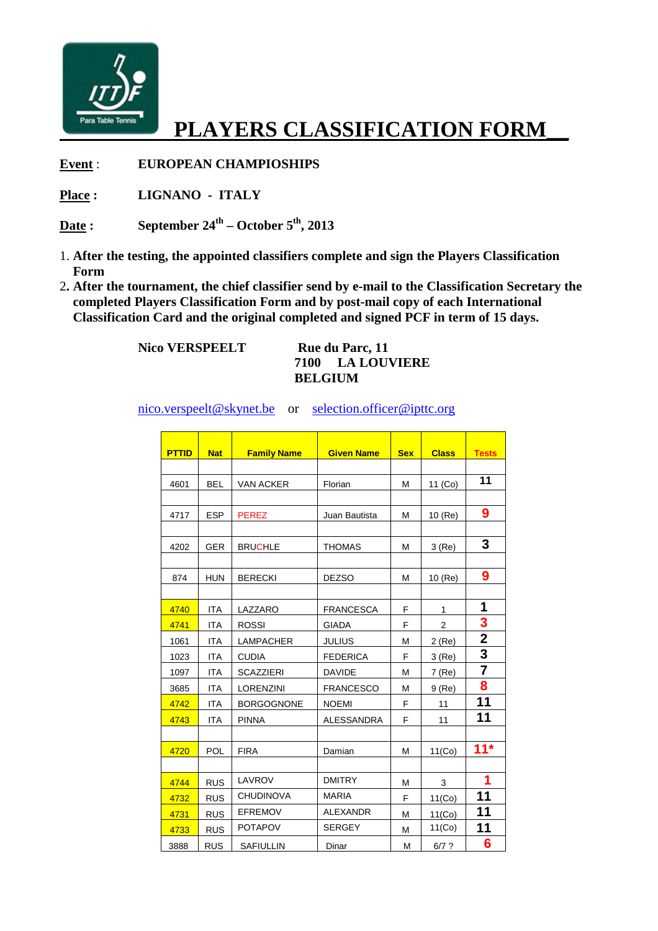

## **PLAYERS CLASSIFICATION FORM\_\_**

**Event** : **EUROPEAN CHAMPIOSHIPS**

**Place : LIGNANO - ITALY**

**Date : September 24th – October 5 th, 2013** 

- 1. **After the testing, the appointed classifiers complete and sign the Players Classification Form**
- 2**. After the tournament, the chief classifier send by e e-mail to the Classification Secretary the completed Players Classification Form and by post post-mail copy of each International** 2. After the tournament, the chief classifier send by e-mail to the Classification Secret completed Players Classification Form and by post-mail copy of each International Classification Card and the original completed and

 **Nico VERSPEELT** 

## **Rue du Parc, 11 7100 LA LOUVIERE BELGIUM**

nico.verspeelt@skynet.be nico.verspeelt@skynet.be or selection.officer@ipttc.org

| <b>PTTID</b> | <b>Nat</b> | <b>Family Name</b> | <b>Given Name</b> | <b>Sex</b> | <b>Class</b>   | <b>Tests</b>            |
|--------------|------------|--------------------|-------------------|------------|----------------|-------------------------|
|              |            |                    |                   |            |                |                         |
| 4601         | <b>BEL</b> | <b>VAN ACKER</b>   | Florian           | M          | 11 (Co)        | 11                      |
|              |            |                    |                   |            |                |                         |
| 4717         | <b>ESP</b> | <b>PEREZ</b>       | Juan Bautista     | M          | 10 (Re)        | 9                       |
|              |            |                    |                   |            |                |                         |
| 4202         | <b>GER</b> | <b>BRUCHLE</b>     | <b>THOMAS</b>     | M          | 3(Re)          | 3                       |
|              |            |                    |                   |            |                |                         |
| 874          | <b>HUN</b> | <b>BERECKI</b>     | <b>DEZSO</b>      | м          | 10 (Re)        | 9                       |
|              |            |                    |                   |            |                |                         |
| 4740         | <b>ITA</b> | LAZZARO            | <b>FRANCESCA</b>  | F          | $\mathbf{1}$   | 1                       |
| 4741         | <b>ITA</b> | <b>ROSSI</b>       | <b>GIADA</b>      | F          | $\overline{2}$ | 3                       |
| 1061         | <b>ITA</b> | <b>LAMPACHER</b>   | <b>JULIUS</b>     | M          | 2 (Re)         | $\overline{\mathbf{2}}$ |
| 1023         | <b>ITA</b> | <b>CUDIA</b>       | <b>FEDERICA</b>   | E          | 3(Re)          | 3                       |
| 1097         | ITA        | SCAZZIERI          | <b>DAVIDE</b>     | M          | 7 (Re)         |                         |
| 3685         | <b>ITA</b> | LORENZINI          | <b>FRANCESCO</b>  | M          | $9$ (Re)       | 8                       |
| 4742         | <b>ITA</b> | <b>BORGOGNONE</b>  | <b>NOEMI</b>      | F          | 11             | 11                      |
| 4743         | <b>ITA</b> | <b>PINNA</b>       | <b>ALESSANDRA</b> | F          | 11             | 11                      |
|              |            |                    |                   |            |                |                         |
| 4720         | POL        | <b>FIRA</b>        | Damian            | M          | 11(Co)         | $11*$                   |
|              |            |                    |                   |            |                |                         |
| 4744         | <b>RUS</b> | LAVROV             | <b>DMITRY</b>     | M          | 3              | 1                       |
| 4732         | <b>RUS</b> | <b>CHUDINOVA</b>   | <b>MARIA</b>      | F          | 11(Co)         | 11                      |
| 4731         | <b>RUS</b> | <b>EFREMOV</b>     | <b>ALEXANDR</b>   | M          | 11(Co)         | 11                      |
| 4733         | <b>RUS</b> | <b>POTAPOV</b>     | <b>SERGEY</b>     | M          | 11(Co)         | 11                      |
| 3888         | <b>RUS</b> | <b>SAFIULLIN</b>   | Dinar             | M          | $6/7$ ?        | 6                       |